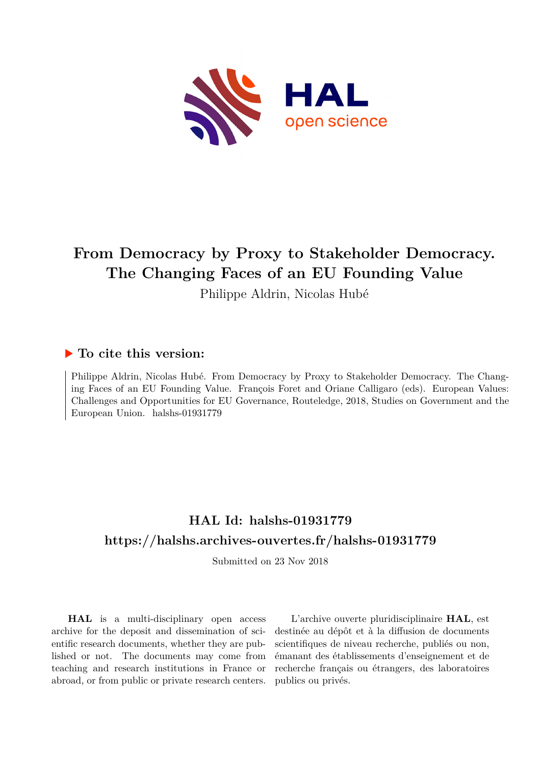

# **From Democracy by Proxy to Stakeholder Democracy. The Changing Faces of an EU Founding Value**

Philippe Aldrin, Nicolas Hubé

### **To cite this version:**

Philippe Aldrin, Nicolas Hubé. From Democracy by Proxy to Stakeholder Democracy. The Changing Faces of an EU Founding Value. François Foret and Oriane Calligaro (eds). European Values: Challenges and Opportunities for EU Governance, Routeledge, 2018, Studies on Government and the European Union. halshs-01931779

# **HAL Id: halshs-01931779 <https://halshs.archives-ouvertes.fr/halshs-01931779>**

Submitted on 23 Nov 2018

**HAL** is a multi-disciplinary open access archive for the deposit and dissemination of scientific research documents, whether they are published or not. The documents may come from teaching and research institutions in France or abroad, or from public or private research centers.

L'archive ouverte pluridisciplinaire **HAL**, est destinée au dépôt et à la diffusion de documents scientifiques de niveau recherche, publiés ou non, émanant des établissements d'enseignement et de recherche français ou étrangers, des laboratoires publics ou privés.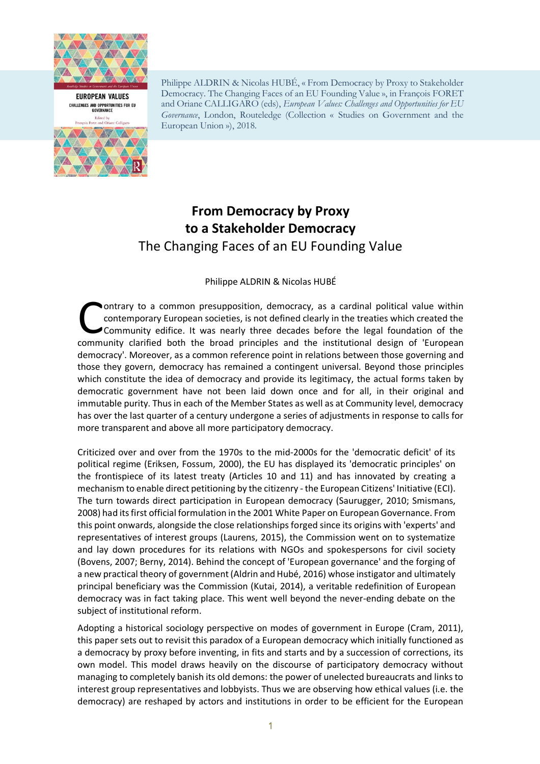



Philippe ALDRIN & Nicolas HUBÉ, « From Democracy by Proxy to Stakeholder Democracy. The Changing Faces of an EU Founding Value », in François FORET and Oriane CALLIGARO (eds), *European Values: Challenges and Opportunities for EU Governance*, London, Routeledge (Collection « Studies on Government and the European Union »), 2018.

# **From Democracy by Proxy to a Stakeholder Democracy** The Changing Faces of an EU Founding Value

#### Philippe ALDRIN & Nicolas HUBÉ

ontrary to a common presupposition, democracy, as a cardinal political value within contemporary European societies, is not defined clearly in the treaties which created the Community edifice. It was nearly three decades before the legal foundation of the ontrary to a common presupposition, democracy, as a cardinal political value within contemporary European societies, is not defined clearly in the treaties which created the Community edifice. It was nearly three decades b democracy'. Moreover, as a common reference point in relations between those governing and those they govern, democracy has remained a contingent universal. Beyond those principles which constitute the idea of democracy and provide its legitimacy, the actual forms taken by democratic government have not been laid down once and for all, in their original and immutable purity. Thus in each of the Member States as well as at Community level, democracy has over the last quarter of a century undergone a series of adjustments in response to calls for more transparent and above all more participatory democracy.

Criticized over and over from the 1970s to the mid-2000s for the 'democratic deficit' of its political regime (Eriksen, Fossum, 2000), the EU has displayed its 'democratic principles' on the frontispiece of its latest treaty (Articles 10 and 11) and has innovated by creating a mechanism to enable direct petitioning by the citizenry - the European Citizens' Initiative (ECI). The turn towards direct participation in European democracy (Saurugger, 2010; Smismans, 2008) had its first official formulation in the 2001 White Paper on European Governance. From this point onwards, alongside the close relationships forged since its origins with 'experts' and representatives of interest groups (Laurens, 2015), the Commission went on to systematize and lay down procedures for its relations with NGOs and spokespersons for civil society (Bovens, 2007; Berny, 2014). Behind the concept of 'European governance' and the forging of a new practical theory of government (Aldrin and Hubé, 2016) whose instigator and ultimately principal beneficiary was the Commission (Kutai, 2014), a veritable redefinition of European democracy was in fact taking place. This went well beyond the never-ending debate on the subject of institutional reform.

Adopting a historical sociology perspective on modes of government in Europe (Cram, 2011), this paper sets out to revisit this paradox of a European democracy which initially functioned as a democracy by proxy before inventing, in fits and starts and by a succession of corrections, its own model. This model draws heavily on the discourse of participatory democracy without managing to completely banish its old demons: the power of unelected bureaucrats and links to interest group representatives and lobbyists. Thus we are observing how ethical values (i.e. the democracy) are reshaped by actors and institutions in order to be efficient for the European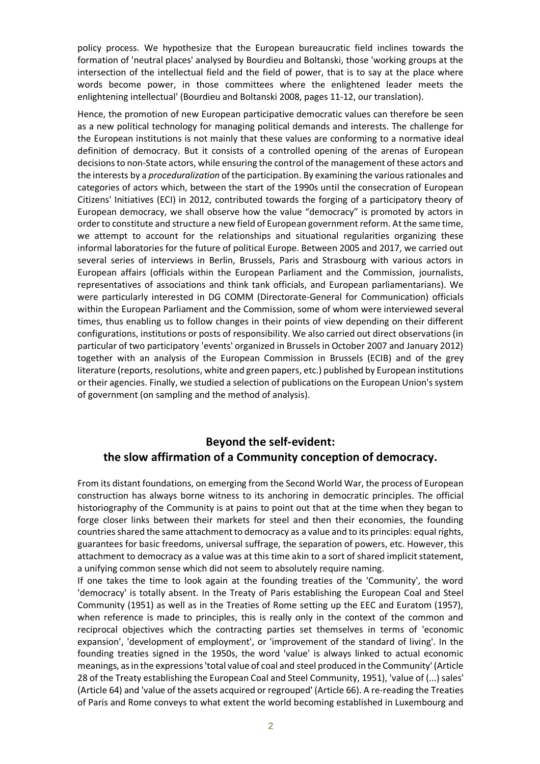policy process. We hypothesize that the European bureaucratic field inclines towards the formation of 'neutral places' analysed by Bourdieu and Boltanski, those 'working groups at the intersection of the intellectual field and the field of power, that is to say at the place where words become power, in those committees where the enlightened leader meets the enlightening intellectual' (Bourdieu and Boltanski 2008, pages 11-12, our translation).

Hence, the promotion of new European participative democratic values can therefore be seen as a new political technology for managing political demands and interests. The challenge for the European institutions is not mainly that these values are conforming to a normative ideal definition of democracy. But it consists of a controlled opening of the arenas of European decisions to non-State actors, while ensuring the control of the management of these actors and the interests by a *proceduralization* of the participation. By examining the various rationales and categories of actors which, between the start of the 1990s until the consecration of European Citizens' Initiatives (ECI) in 2012, contributed towards the forging of a participatory theory of European democracy, we shall observe how the value "democracy" is promoted by actors in order to constitute and structure a new field of European government reform. At the same time, we attempt to account for the relationships and situational regularities organizing these informal laboratories for the future of political Europe. Between 2005 and 2017, we carried out several series of interviews in Berlin, Brussels, Paris and Strasbourg with various actors in European affairs (officials within the European Parliament and the Commission, journalists, representatives of associations and think tank officials, and European parliamentarians). We were particularly interested in DG COMM (Directorate-General for Communication) officials within the European Parliament and the Commission, some of whom were interviewed several times, thus enabling us to follow changes in their points of view depending on their different configurations, institutions or posts of responsibility. We also carried out direct observations (in particular of two participatory 'events' organized in Brussels in October 2007 and January 2012) together with an analysis of the European Commission in Brussels (ECIB) and of the grey literature (reports, resolutions, white and green papers, etc.) published by European institutions or their agencies. Finally, we studied a selection of publications on the European Union's system of government (on sampling and the method of analysis).

## **Beyond the self-evident: the slow affirmation of a Community conception of democracy.**

From its distant foundations, on emerging from the Second World War, the process of European construction has always borne witness to its anchoring in democratic principles. The official historiography of the Community is at pains to point out that at the time when they began to forge closer links between their markets for steel and then their economies, the founding countries shared the same attachment to democracy as a value and to its principles: equal rights, guarantees for basic freedoms, universal suffrage, the separation of powers, etc. However, this attachment to democracy as a value was at this time akin to a sort of shared implicit statement, a unifying common sense which did not seem to absolutely require naming.

If one takes the time to look again at the founding treaties of the 'Community', the word 'democracy' is totally absent. In the Treaty of Paris establishing the European Coal and Steel Community (1951) as well as in the Treaties of Rome setting up the EEC and Euratom (1957), when reference is made to principles, this is really only in the context of the common and reciprocal objectives which the contracting parties set themselves in terms of 'economic expansion', 'development of employment', or 'improvement of the standard of living'. In the founding treaties signed in the 1950s, the word 'value' is always linked to actual economic meanings, as in the expressions 'total value of coal and steel produced in the Community' (Article 28 of the Treaty establishing the European Coal and Steel Community, 1951), 'value of (...) sales' (Article 64) and 'value of the assets acquired or regrouped' (Article 66). A re-reading the Treaties of Paris and Rome conveys to what extent the world becoming established in Luxembourg and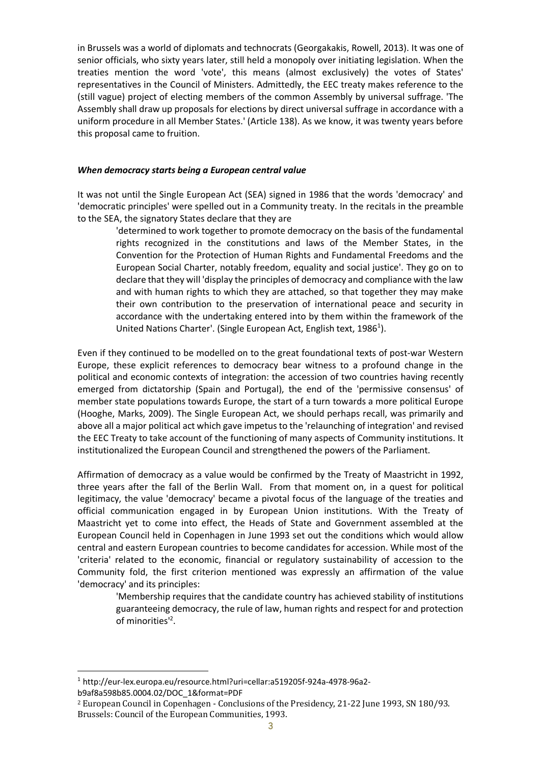in Brussels was a world of diplomats and technocrats (Georgakakis, Rowell, 2013). It was one of senior officials, who sixty years later, still held a monopoly over initiating legislation. When the treaties mention the word 'vote', this means (almost exclusively) the votes of States' representatives in the Council of Ministers. Admittedly, the EEC treaty makes reference to the (still vague) project of electing members of the common Assembly by universal suffrage. 'The Assembly shall draw up proposals for elections by direct universal suffrage in accordance with a uniform procedure in all Member States.' (Article 138). As we know, it was twenty years before this proposal came to fruition.

#### *When democracy starts being a European central value*

It was not until the Single European Act (SEA) signed in 1986 that the words 'democracy' and 'democratic principles' were spelled out in a Community treaty. In the recitals in the preamble to the SEA, the signatory States declare that they are

'determined to work together to promote democracy on the basis of the fundamental rights recognized in the constitutions and laws of the Member States, in the Convention for the Protection of Human Rights and Fundamental Freedoms and the European Social Charter, notably freedom, equality and social justice'. They go on to declare that they will 'display the principles of democracy and compliance with the law and with human rights to which they are attached, so that together they may make their own contribution to the preservation of international peace and security in accordance with the undertaking entered into by them within the framework of the United Nations Charter'. (Single European Act, English text, 1986<sup>1</sup>).

Even if they continued to be modelled on to the great foundational texts of post-war Western Europe, these explicit references to democracy bear witness to a profound change in the political and economic contexts of integration: the accession of two countries having recently emerged from dictatorship (Spain and Portugal), the end of the 'permissive consensus' of member state populations towards Europe, the start of a turn towards a more political Europe (Hooghe, Marks, 2009). The Single European Act, we should perhaps recall, was primarily and above all a major political act which gave impetus to the 'relaunching of integration' and revised the EEC Treaty to take account of the functioning of many aspects of Community institutions. It institutionalized the European Council and strengthened the powers of the Parliament.

Affirmation of democracy as a value would be confirmed by the Treaty of Maastricht in 1992, three years after the fall of the Berlin Wall. From that moment on, in a quest for political legitimacy, the value 'democracy' became a pivotal focus of the language of the treaties and official communication engaged in by European Union institutions. With the Treaty of Maastricht yet to come into effect, the Heads of State and Government assembled at the European Council held in Copenhagen in June 1993 set out the conditions which would allow central and eastern European countries to become candidates for accession. While most of the 'criteria' related to the economic, financial or regulatory sustainability of accession to the Community fold, the first criterion mentioned was expressly an affirmation of the value 'democracy' and its principles:

'Membership requires that the candidate country has achieved stability of institutions guaranteeing democracy, the rule of law, human rights and respect for and protection of minorities<sup>12</sup>.

 <sup>1</sup> http://eur-lex.europa.eu/resource.html?uri=cellar:a519205f-924a-4978-96a2 b9af8a598b85.0004.02/DOC\_1&format=PDF

 $2$  European Council in Copenhagen - Conclusions of the Presidency, 21-22 June 1993, SN 180/93. Brussels: Council of the European Communities, 1993.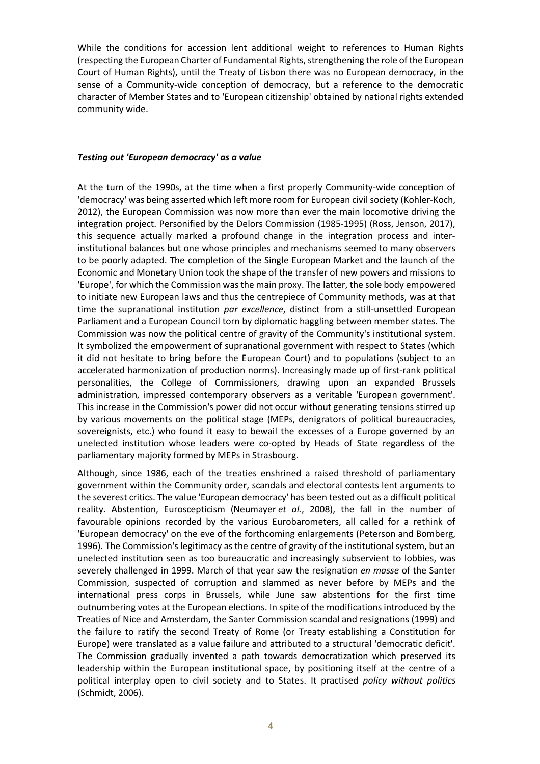While the conditions for accession lent additional weight to references to Human Rights (respecting the European Charter of Fundamental Rights, strengthening the role of the European Court of Human Rights), until the Treaty of Lisbon there was no European democracy, in the sense of a Community-wide conception of democracy, but a reference to the democratic character of Member States and to 'European citizenship' obtained by national rights extended community wide.

#### *Testing out 'European democracy' as a value*

At the turn of the 1990s, at the time when a first properly Community-wide conception of 'democracy' was being asserted which left more room for European civil society (Kohler-Koch, 2012), the European Commission was now more than ever the main locomotive driving the integration project. Personified by the Delors Commission (1985-1995) (Ross, Jenson, 2017), this sequence actually marked a profound change in the integration process and interinstitutional balances but one whose principles and mechanisms seemed to many observers to be poorly adapted. The completion of the Single European Market and the launch of the Economic and Monetary Union took the shape of the transfer of new powers and missions to 'Europe', for which the Commission was the main proxy. The latter, the sole body empowered to initiate new European laws and thus the centrepiece of Community methods, was at that time the supranational institution *par excellence*, distinct from a still-unsettled European Parliament and a European Council torn by diplomatic haggling between member states. The Commission was now the political centre of gravity of the Community's institutional system. It symbolized the empowerment of supranational government with respect to States (which it did not hesitate to bring before the European Court) and to populations (subject to an accelerated harmonization of production norms). Increasingly made up of first-rank political personalities, the College of Commissioners, drawing upon an expanded Brussels administration, impressed contemporary observers as a veritable 'European government'. This increase in the Commission's power did not occur without generating tensions stirred up by various movements on the political stage (MEPs, denigrators of political bureaucracies, sovereignists, etc.) who found it easy to bewail the excesses of a Europe governed by an unelected institution whose leaders were co-opted by Heads of State regardless of the parliamentary majority formed by MEPs in Strasbourg.

Although, since 1986, each of the treaties enshrined a raised threshold of parliamentary government within the Community order, scandals and electoral contests lent arguments to the severest critics. The value 'European democracy' has been tested out as a difficult political reality. Abstention, Euroscepticism (Neumayer *et al.*, 2008), the fall in the number of favourable opinions recorded by the various Eurobarometers, all called for a rethink of 'European democracy' on the eve of the forthcoming enlargements (Peterson and Bomberg, 1996). The Commission's legitimacy as the centre of gravity of the institutional system, but an unelected institution seen as too bureaucratic and increasingly subservient to lobbies, was severely challenged in 1999. March of that year saw the resignation *en masse* of the Santer Commission, suspected of corruption and slammed as never before by MEPs and the international press corps in Brussels, while June saw abstentions for the first time outnumbering votes at the European elections. In spite of the modifications introduced by the Treaties of Nice and Amsterdam, the Santer Commission scandal and resignations (1999) and the failure to ratify the second Treaty of Rome (or Treaty establishing a Constitution for Europe) were translated as a value failure and attributed to a structural 'democratic deficit'. The Commission gradually invented a path towards democratization which preserved its leadership within the European institutional space, by positioning itself at the centre of a political interplay open to civil society and to States. It practised *policy without politics* (Schmidt, 2006).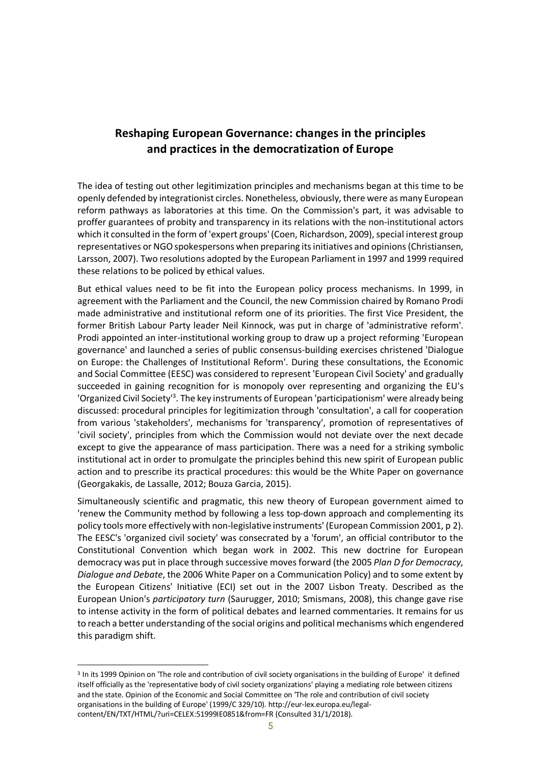## **Reshaping European Governance: changes in the principles and practices in the democratization of Europe**

The idea of testing out other legitimization principles and mechanisms began at this time to be openly defended by integrationist circles. Nonetheless, obviously, there were as many European reform pathways as laboratories at this time. On the Commission's part, it was advisable to proffer guarantees of probity and transparency in its relations with the non-institutional actors which it consulted in the form of 'expert groups' (Coen, Richardson, 2009), special interest group representatives or NGO spokespersons when preparing its initiatives and opinions (Christiansen, Larsson, 2007). Two resolutions adopted by the European Parliament in 1997 and 1999 required these relations to be policed by ethical values.

But ethical values need to be fit into the European policy process mechanisms. In 1999, in agreement with the Parliament and the Council, the new Commission chaired by Romano Prodi made administrative and institutional reform one of its priorities. The first Vice President, the former British Labour Party leader Neil Kinnock, was put in charge of 'administrative reform'. Prodi appointed an inter-institutional working group to draw up a project reforming 'European governance' and launched a series of public consensus-building exercises christened 'Dialogue on Europe: the Challenges of Institutional Reform'. During these consultations, the Economic and Social Committee (EESC) was considered to represent 'European Civil Society' and gradually succeeded in gaining recognition for is monopoly over representing and organizing the EU's 'Organized Civil Society<sup>13</sup>. The key instruments of European 'participationism' were already being discussed: procedural principles for legitimization through 'consultation', a call for cooperation from various 'stakeholders', mechanisms for 'transparency', promotion of representatives of 'civil society', principles from which the Commission would not deviate over the next decade except to give the appearance of mass participation. There was a need for a striking symbolic institutional act in order to promulgate the principles behind this new spirit of European public action and to prescribe its practical procedures: this would be the White Paper on governance (Georgakakis, de Lassalle, 2012; Bouza Garcia, 2015).

Simultaneously scientific and pragmatic, this new theory of European government aimed to 'renew the Community method by following a less top-down approach and complementing its policy tools more effectively with non-legislative instruments' (European Commission 2001, p 2). The EESC's 'organized civil society' was consecrated by a 'forum', an official contributor to the Constitutional Convention which began work in 2002. This new doctrine for European democracy was put in place through successive moves forward (the 2005 *Plan D for Democracy, Dialogue and Debate*, the 2006 White Paper on a Communication Policy) and to some extent by the European Citizens' Initiative (ECI) set out in the 2007 Lisbon Treaty. Described as the European Union's *participatory turn* (Saurugger, 2010; Smismans, 2008), this change gave rise to intense activity in the form of political debates and learned commentaries. It remains for us to reach a better understanding of the social origins and political mechanisms which engendered this paradigm shift.

<sup>&</sup>lt;sup>3</sup> In its 1999 Opinion on 'The role and contribution of civil society organisations in the building of Europe' it defined itself officially as the 'representative body of civil society organizations' playing a mediating role between citizens and the state. Opinion of the Economic and Social Committee on 'The role and contribution of civil society organisations in the building of Europe' (1999/C 329/10). http://eur-lex.europa.eu/legalcontent/EN/TXT/HTML/?uri=CELEX:51999IE0851&from=FR (Consulted 31/1/2018).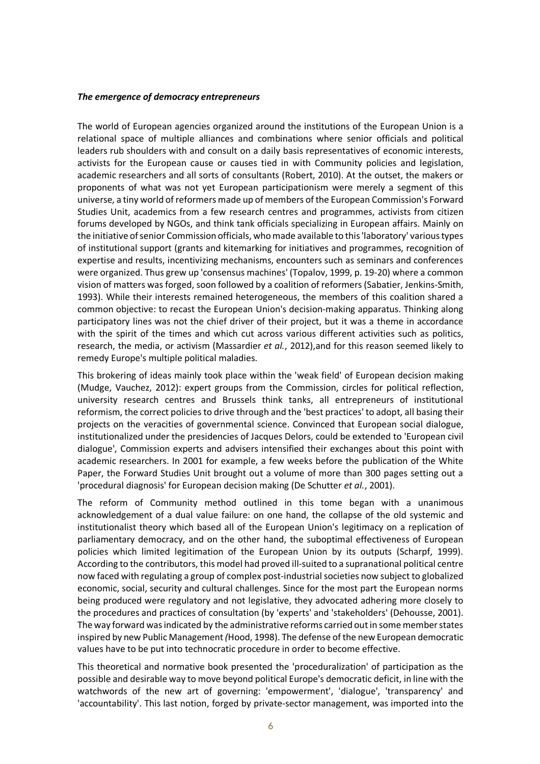#### *The emergence of democracy entrepreneurs*

The world of European agencies organized around the institutions of the European Union is a relational space of multiple alliances and combinations where senior officials and political leaders rub shoulders with and consult on a daily basis representatives of economic interests, activists for the European cause or causes tied in with Community policies and legislation, academic researchers and all sorts of consultants (Robert, 2010). At the outset, the makers or proponents of what was not yet European participationism were merely a segment of this universe, a tiny world of reformers made up of members of the European Commission's Forward Studies Unit, academics from a few research centres and programmes, activists from citizen forums developed by NGOs, and think tank officials specializing in European affairs. Mainly on the initiative of senior Commission officials, who made available to this 'laboratory' various types of institutional support (grants and kitemarking for initiatives and programmes, recognition of expertise and results, incentivizing mechanisms, encounters such as seminars and conferences were organized. Thus grew up 'consensus machines' (Topalov, 1999, p. 19-20) where a common vision of matters was forged, soon followed by a coalition of reformers (Sabatier, Jenkins-Smith, 1993). While their interests remained heterogeneous, the members of this coalition shared a common objective: to recast the European Union's decision-making apparatus. Thinking along participatory lines was not the chief driver of their project, but it was a theme in accordance with the spirit of the times and which cut across various different activities such as politics, research, the media, or activism (Massardier *et al.*, 2012),and for this reason seemed likely to remedy Europe's multiple political maladies.

This brokering of ideas mainly took place within the 'weak field' of European decision making (Mudge, Vauchez, 2012): expert groups from the Commission, circles for political reflection, university research centres and Brussels think tanks, all entrepreneurs of institutional reformism, the correct policies to drive through and the 'best practices' to adopt, all basing their projects on the veracities of governmental science. Convinced that European social dialogue, institutionalized under the presidencies of Jacques Delors, could be extended to 'European civil dialogue', Commission experts and advisers intensified their exchanges about this point with academic researchers. In 2001 for example, a few weeks before the publication of the White Paper, the Forward Studies Unit brought out a volume of more than 300 pages setting out a 'procedural diagnosis' for European decision making (De Schutter *et al.*, 2001).

The reform of Community method outlined in this tome began with a unanimous acknowledgement of a dual value failure: on one hand, the collapse of the old systemic and institutionalist theory which based all of the European Union's legitimacy on a replication of parliamentary democracy, and on the other hand, the suboptimal effectiveness of European policies which limited legitimation of the European Union by its outputs (Scharpf, 1999). According to the contributors, this model had proved ill-suited to a supranational political centre now faced with regulating a group of complex post-industrial societies now subject to globalized economic, social, security and cultural challenges. Since for the most part the European norms being produced were regulatory and not legislative, they advocated adhering more closely to the procedures and practices of consultation (by 'experts' and 'stakeholders' (Dehousse, 2001). The way forward was indicated by the administrative reforms carried out in some member states inspired by new Public Management*(*Hood, 1998). The defense of the new European democratic values have to be put into technocratic procedure in order to become effective.

This theoretical and normative book presented the 'proceduralization' of participation as the possible and desirable way to move beyond political Europe's democratic deficit, in line with the watchwords of the new art of governing: 'empowerment', 'dialogue', 'transparency' and 'accountability'. This last notion, forged by private-sector management, was imported into the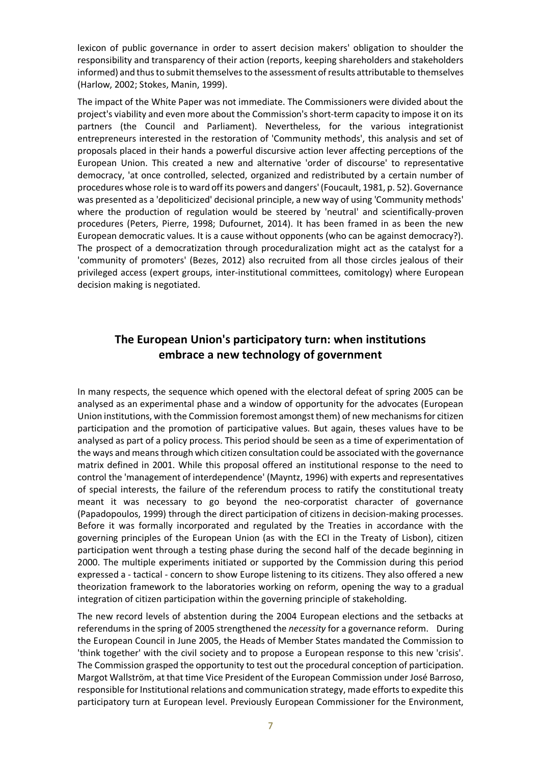lexicon of public governance in order to assert decision makers' obligation to shoulder the responsibility and transparency of their action (reports, keeping shareholders and stakeholders informed) and thus to submit themselves to the assessment of results attributable to themselves (Harlow, 2002; Stokes, Manin, 1999).

The impact of the White Paper was not immediate. The Commissioners were divided about the project's viability and even more about the Commission's short-term capacity to impose it on its partners (the Council and Parliament). Nevertheless, for the various integrationist entrepreneurs interested in the restoration of 'Community methods', this analysis and set of proposals placed in their hands a powerful discursive action lever affecting perceptions of the European Union. This created a new and alternative 'order of discourse' to representative democracy, 'at once controlled, selected, organized and redistributed by a certain number of procedures whose role is to ward off its powers and dangers' (Foucault, 1981, p. 52). Governance was presented as a 'depoliticized' decisional principle, a new way of using 'Community methods' where the production of regulation would be steered by 'neutral' and scientifically-proven procedures (Peters, Pierre, 1998; Dufournet, 2014). It has been framed in as been the new European democratic values. It is a cause without opponents (who can be against democracy?). The prospect of a democratization through proceduralization might act as the catalyst for a 'community of promoters' (Bezes, 2012) also recruited from all those circles jealous of their privileged access (expert groups, inter-institutional committees, comitology) where European decision making is negotiated.

## **The European Union's participatory turn: when institutions embrace a new technology of government**

In many respects, the sequence which opened with the electoral defeat of spring 2005 can be analysed as an experimental phase and a window of opportunity for the advocates (European Union institutions, with the Commission foremost amongst them) of new mechanisms for citizen participation and the promotion of participative values. But again, theses values have to be analysed as part of a policy process. This period should be seen as a time of experimentation of the ways and means through which citizen consultation could be associated with the governance matrix defined in 2001. While this proposal offered an institutional response to the need to control the 'management of interdependence' (Mayntz, 1996) with experts and representatives of special interests, the failure of the referendum process to ratify the constitutional treaty meant it was necessary to go beyond the neo-corporatist character of governance (Papadopoulos, 1999) through the direct participation of citizens in decision-making processes. Before it was formally incorporated and regulated by the Treaties in accordance with the governing principles of the European Union (as with the ECI in the Treaty of Lisbon), citizen participation went through a testing phase during the second half of the decade beginning in 2000. The multiple experiments initiated or supported by the Commission during this period expressed a - tactical - concern to show Europe listening to its citizens. They also offered a new theorization framework to the laboratories working on reform, opening the way to a gradual integration of citizen participation within the governing principle of stakeholding.

The new record levels of abstention during the 2004 European elections and the setbacks at referendums in the spring of 2005 strengthened the *necessity* for a governance reform. During the European Council in June 2005, the Heads of Member States mandated the Commission to 'think together' with the civil society and to propose a European response to this new 'crisis'. The Commission grasped the opportunity to test out the procedural conception of participation. Margot Wallström, at that time Vice President of the European Commission under José Barroso, responsible for Institutional relations and communication strategy, made efforts to expedite this participatory turn at European level. Previously European Commissioner for the Environment,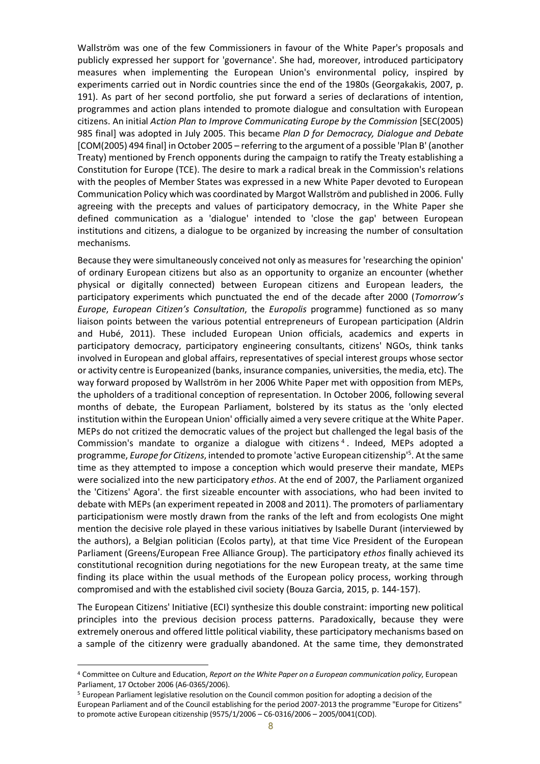Wallström was one of the few Commissioners in favour of the White Paper's proposals and publicly expressed her support for 'governance'. She had, moreover, introduced participatory measures when implementing the European Union's environmental policy, inspired by experiments carried out in Nordic countries since the end of the 1980s (Georgakakis, 2007, p. 191). As part of her second portfolio, she put forward a series of declarations of intention, programmes and action plans intended to promote dialogue and consultation with European citizens. An initial *Action Plan to Improve Communicating Europe by the Commission* [SEC(2005) 985 final] was adopted in July 2005. This became *Plan D for Democracy, Dialogue and Debate*  [COM(2005) 494 final] in October 2005 – referring to the argument of a possible 'Plan B' (another Treaty) mentioned by French opponents during the campaign to ratify the Treaty establishing a Constitution for Europe (TCE). The desire to mark a radical break in the Commission's relations with the peoples of Member States was expressed in a new White Paper devoted to European Communication Policy which was coordinated by Margot Wallström and published in 2006. Fully agreeing with the precepts and values of participatory democracy, in the White Paper she defined communication as a 'dialogue' intended to 'close the gap' between European institutions and citizens, a dialogue to be organized by increasing the number of consultation mechanisms.

Because they were simultaneously conceived not only as measures for 'researching the opinion' of ordinary European citizens but also as an opportunity to organize an encounter (whether physical or digitally connected) between European citizens and European leaders, the participatory experiments which punctuated the end of the decade after 2000 (*Tomorrow's Europe*, *European Citizen's Consultation*, the *Europolis* programme) functioned as so many liaison points between the various potential entrepreneurs of European participation (Aldrin and Hubé, 2011). These included European Union officials, academics and experts in participatory democracy, participatory engineering consultants, citizens' NGOs, think tanks involved in European and global affairs, representatives of special interest groups whose sector or activity centre is Europeanized (banks, insurance companies, universities, the media, etc). The way forward proposed by Wallström in her 2006 White Paper met with opposition from MEPs, the upholders of a traditional conception of representation. In October 2006, following several months of debate, the European Parliament, bolstered by its status as the 'only elected institution within the European Union' officially aimed a very severe critique at the White Paper. MEPs do not critized the democratic values of the project but challenged the legal basis of the Commission's mandate to organize a dialogue with citizens<sup>4</sup>. Indeed, MEPs adopted a programme, *Europe for Citizens*, intended to promote 'active European citizenship'5 . At the same time as they attempted to impose a conception which would preserve their mandate, MEPs were socialized into the new participatory *ethos*. At the end of 2007, the Parliament organized the 'Citizens' Agora'. the first sizeable encounter with associations, who had been invited to debate with MEPs (an experiment repeated in 2008 and 2011). The promoters of parliamentary participationism were mostly drawn from the ranks of the left and from ecologists One might mention the decisive role played in these various initiatives by Isabelle Durant (interviewed by the authors), a Belgian politician (Ecolos party), at that time Vice President of the European Parliament (Greens/European Free Alliance Group). The participatory *ethos* finally achieved its constitutional recognition during negotiations for the new European treaty, at the same time finding its place within the usual methods of the European policy process, working through compromised and with the established civil society (Bouza Garcia, 2015, p. 144-157).

The European Citizens' Initiative (ECI) synthesize this double constraint: importing new political principles into the previous decision process patterns. Paradoxically, because they were extremely onerous and offered little political viability, these participatory mechanisms based on a sample of the citizenry were gradually abandoned. At the same time, they demonstrated

<sup>4</sup> Committee on Culture and Education, *Report on the White Paper on a European communication policy*, European Parliament, 17 October 2006 (A6-0365/2006).

<sup>5</sup> European Parliament legislative resolution on the Council common position for adopting a decision of the European Parliament and of the Council establishing for the period 2007-2013 the programme "Europe for Citizens" to promote active European citizenship (9575/1/2006 – C6-0316/2006 – 2005/0041(COD).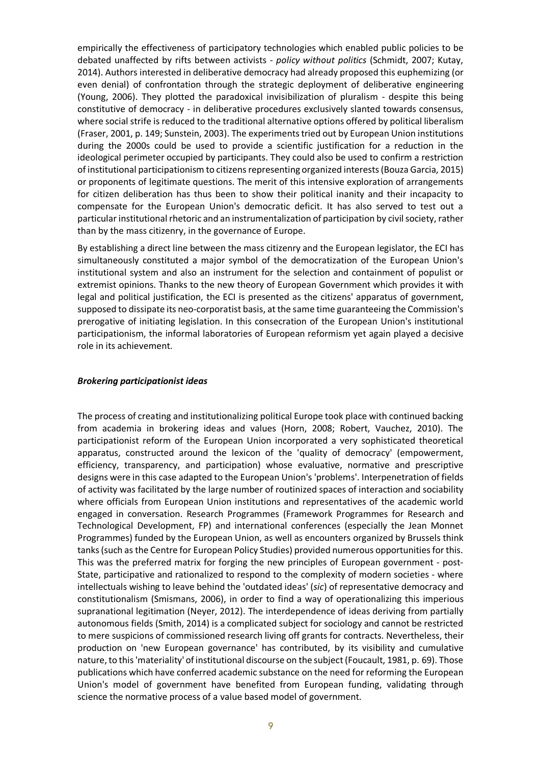empirically the effectiveness of participatory technologies which enabled public policies to be debated unaffected by rifts between activists - *policy without politics* (Schmidt, 2007; Kutay, 2014). Authors interested in deliberative democracy had already proposed this euphemizing (or even denial) of confrontation through the strategic deployment of deliberative engineering (Young, 2006). They plotted the paradoxical invisibilization of pluralism - despite this being constitutive of democracy - in deliberative procedures exclusively slanted towards consensus, where social strife is reduced to the traditional alternative options offered by political liberalism (Fraser, 2001, p. 149; Sunstein, 2003). The experiments tried out by European Union institutions during the 2000s could be used to provide a scientific justification for a reduction in the ideological perimeter occupied by participants. They could also be used to confirm a restriction of institutional participationism to citizens representing organized interests (Bouza Garcia, 2015) or proponents of legitimate questions. The merit of this intensive exploration of arrangements for citizen deliberation has thus been to show their political inanity and their incapacity to compensate for the European Union's democratic deficit. It has also served to test out a particular institutional rhetoric and an instrumentalization of participation by civil society, rather than by the mass citizenry, in the governance of Europe.

By establishing a direct line between the mass citizenry and the European legislator, the ECI has simultaneously constituted a major symbol of the democratization of the European Union's institutional system and also an instrument for the selection and containment of populist or extremist opinions. Thanks to the new theory of European Government which provides it with legal and political justification, the ECI is presented as the citizens' apparatus of government, supposed to dissipate its neo-corporatist basis, at the same time guaranteeing the Commission's prerogative of initiating legislation. In this consecration of the European Union's institutional participationism, the informal laboratories of European reformism yet again played a decisive role in its achievement.

#### *Brokering participationist ideas*

The process of creating and institutionalizing political Europe took place with continued backing from academia in brokering ideas and values (Horn, 2008; Robert, Vauchez, 2010). The participationist reform of the European Union incorporated a very sophisticated theoretical apparatus, constructed around the lexicon of the 'quality of democracy' (empowerment, efficiency, transparency, and participation) whose evaluative, normative and prescriptive designs were in this case adapted to the European Union's 'problems'. Interpenetration of fields of activity was facilitated by the large number of routinized spaces of interaction and sociability where officials from European Union institutions and representatives of the academic world engaged in conversation. Research Programmes (Framework Programmes for Research and Technological Development, FP) and international conferences (especially the Jean Monnet Programmes) funded by the European Union, as well as encounters organized by Brussels think tanks (such as the Centre for European Policy Studies) provided numerous opportunities for this. This was the preferred matrix for forging the new principles of European government - post-State, participative and rationalized to respond to the complexity of modern societies - where intellectuals wishing to leave behind the 'outdated ideas' (*sic*) of representative democracy and constitutionalism (Smismans, 2006), in order to find a way of operationalizing this imperious supranational legitimation (Neyer, 2012). The interdependence of ideas deriving from partially autonomous fields (Smith, 2014) is a complicated subject for sociology and cannot be restricted to mere suspicions of commissioned research living off grants for contracts. Nevertheless, their production on 'new European governance' has contributed, by its visibility and cumulative nature, to this 'materiality' of institutional discourse on the subject (Foucault, 1981, p. 69). Those publications which have conferred academic substance on the need for reforming the European Union's model of government have benefited from European funding, validating through science the normative process of a value based model of government.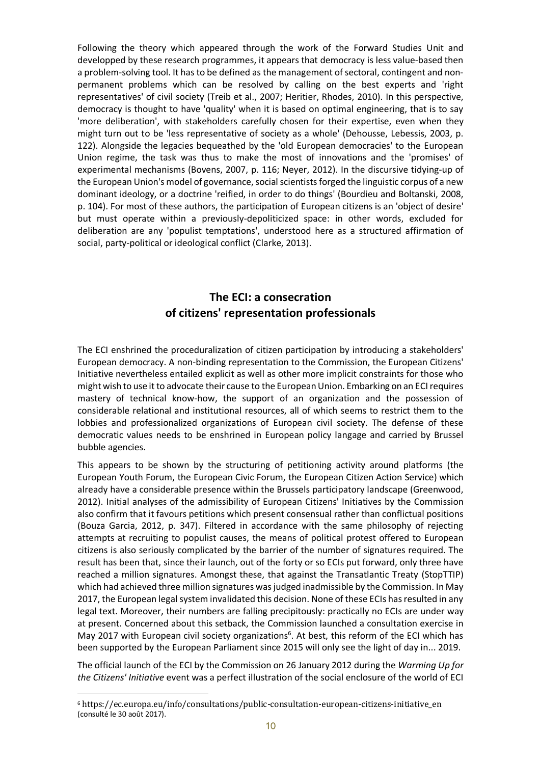Following the theory which appeared through the work of the Forward Studies Unit and developped by these research programmes, it appears that democracy is less value-based then a problem-solving tool. It has to be defined as the management of sectoral, contingent and nonpermanent problems which can be resolved by calling on the best experts and 'right representatives' of civil society (Treib et al., 2007; Heritier, Rhodes, 2010). In this perspective, democracy is thought to have 'quality' when it is based on optimal engineering, that is to say 'more deliberation', with stakeholders carefully chosen for their expertise, even when they might turn out to be 'less representative of society as a whole' (Dehousse, Lebessis, 2003, p. 122). Alongside the legacies bequeathed by the 'old European democracies' to the European Union regime, the task was thus to make the most of innovations and the 'promises' of experimental mechanisms (Bovens, 2007, p. 116; Neyer, 2012). In the discursive tidying-up of the European Union's model of governance, social scientists forged the linguistic corpus of a new dominant ideology, or a doctrine 'reified, in order to do things' (Bourdieu and Boltanski, 2008, p. 104). For most of these authors, the participation of European citizens is an 'object of desire' but must operate within a previously-depoliticized space: in other words, excluded for deliberation are any 'populist temptations', understood here as a structured affirmation of social, party-political or ideological conflict (Clarke, 2013).

### **The ECI: a consecration of citizens' representation professionals**

The ECI enshrined the proceduralization of citizen participation by introducing a stakeholders' European democracy. A non-binding representation to the Commission, the European Citizens' Initiative nevertheless entailed explicit as well as other more implicit constraints for those who might wish to use it to advocate their cause to the European Union. Embarking on an ECI requires mastery of technical know-how, the support of an organization and the possession of considerable relational and institutional resources, all of which seems to restrict them to the lobbies and professionalized organizations of European civil society. The defense of these democratic values needs to be enshrined in European policy langage and carried by Brussel bubble agencies.

This appears to be shown by the structuring of petitioning activity around platforms (the European Youth Forum, the European Civic Forum, the European Citizen Action Service) which already have a considerable presence within the Brussels participatory landscape (Greenwood, 2012). Initial analyses of the admissibility of European Citizens' Initiatives by the Commission also confirm that it favours petitions which present consensual rather than conflictual positions (Bouza Garcia, 2012, p. 347). Filtered in accordance with the same philosophy of rejecting attempts at recruiting to populist causes, the means of political protest offered to European citizens is also seriously complicated by the barrier of the number of signatures required. The result has been that, since their launch, out of the forty or so ECIs put forward, only three have reached a million signatures. Amongst these, that against the Transatlantic Treaty (StopTTIP) which had achieved three million signatures was judged inadmissible by the Commission. In May 2017, the European legal system invalidated this decision. None of these ECIs has resulted in any legal text. Moreover, their numbers are falling precipitously: practically no ECIs are under way at present. Concerned about this setback, the Commission launched a consultation exercise in May 2017 with European civil society organizations<sup>6</sup>. At best, this reform of the ECI which has been supported by the European Parliament since 2015 will only see the light of day in... 2019.

The official launch of the ECI by the Commission on 26 January 2012 during the *Warming Up for the Citizens' Initiative* event was a perfect illustration of the social enclosure of the world of ECI

<sup>6</sup> https://ec.europa.eu/info/consultations/public-consultation-european-citizens-initiative\_en (consulté le 30 août 2017).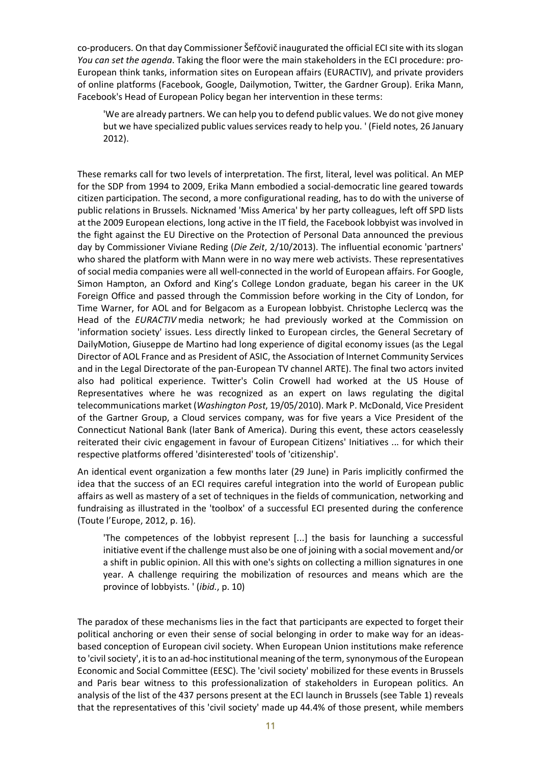co-producers. On that day Commissioner Šefčovič inaugurated the official ECI site with its slogan *You can set the agenda*. Taking the floor were the main stakeholders in the ECI procedure: pro-European think tanks, information sites on European affairs (EURACTIV), and private providers of online platforms (Facebook, Google, Dailymotion, Twitter, the Gardner Group). Erika Mann, Facebook's Head of European Policy began her intervention in these terms:

'We are already partners. We can help you to defend public values. We do not give money but we have specialized public values services ready to help you. ' (Field notes, 26 January 2012).

These remarks call for two levels of interpretation. The first, literal, level was political. An MEP for the SDP from 1994 to 2009, Erika Mann embodied a social-democratic line geared towards citizen participation. The second, a more configurational reading, has to do with the universe of public relations in Brussels. Nicknamed 'Miss America' by her party colleagues, left off SPD lists at the 2009 European elections, long active in the IT field, the Facebook lobbyist was involved in the fight against the EU Directive on the Protection of Personal Data announced the previous day by Commissioner Viviane Reding (*Die Zeit*, 2/10/2013). The influential economic 'partners' who shared the platform with Mann were in no way mere web activists. These representatives of social media companies were all well-connected in the world of European affairs. For Google, Simon Hampton, an Oxford and King's College London graduate, began his career in the UK Foreign Office and passed through the Commission before working in the City of London, for Time Warner, for AOL and for Belgacom as a European lobbyist. Christophe Leclercq was the Head of the *EURACTIV* media network; he had previously worked at the Commission on 'information society' issues. Less directly linked to European circles, the General Secretary of DailyMotion, Giuseppe de Martino had long experience of digital economy issues (as the Legal Director of AOL France and as President of ASIC, the Association of Internet Community Services and in the Legal Directorate of the pan-European TV channel ARTE). The final two actors invited also had political experience. Twitter's Colin Crowell had worked at the US House of Representatives where he was recognized as an expert on laws regulating the digital telecommunications market (*Washington Post*, 19/05/2010). Mark P. McDonald, Vice President of the Gartner Group, a Cloud services company, was for five years a Vice President of the Connecticut National Bank (later Bank of America). During this event, these actors ceaselessly reiterated their civic engagement in favour of European Citizens' Initiatives ... for which their respective platforms offered 'disinterested' tools of 'citizenship'.

An identical event organization a few months later (29 June) in Paris implicitly confirmed the idea that the success of an ECI requires careful integration into the world of European public affairs as well as mastery of a set of techniques in the fields of communication, networking and fundraising as illustrated in the 'toolbox' of a successful ECI presented during the conference (Toute l'Europe, 2012, p. 16).

'The competences of the lobbyist represent [...] the basis for launching a successful initiative event if the challenge must also be one of joining with a social movement and/or a shift in public opinion. All this with one's sights on collecting a million signatures in one year. A challenge requiring the mobilization of resources and means which are the province of lobbyists. ' (*ibid.*, p. 10)

The paradox of these mechanisms lies in the fact that participants are expected to forget their political anchoring or even their sense of social belonging in order to make way for an ideasbased conception of European civil society. When European Union institutions make reference to 'civil society', it is to an ad-hoc institutional meaning of the term, synonymous of the European Economic and Social Committee (EESC). The 'civil society' mobilized for these events in Brussels and Paris bear witness to this professionalization of stakeholders in European politics. An analysis of the list of the 437 persons present at the ECI launch in Brussels (see Table 1) reveals that the representatives of this 'civil society' made up 44.4% of those present, while members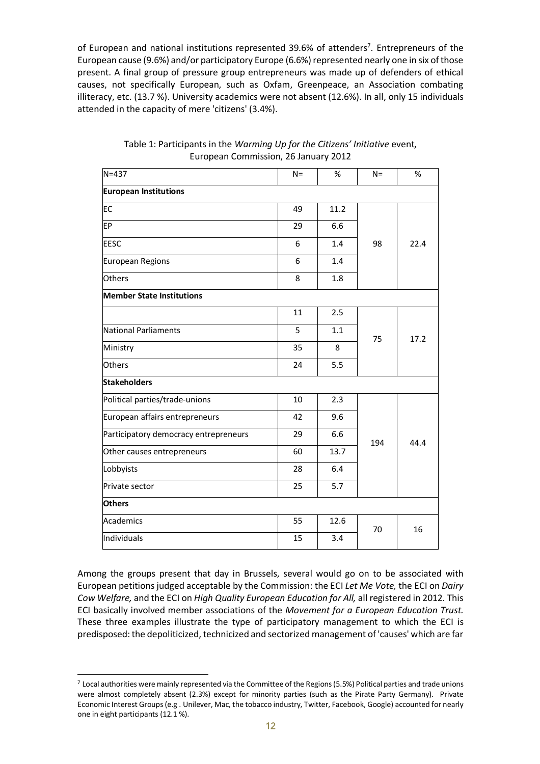of European and national institutions represented 39.6% of attenders<sup>7</sup>. Entrepreneurs of the European cause (9.6%) and/or participatory Europe (6.6%) represented nearly one in six of those present. A final group of pressure group entrepreneurs was made up of defenders of ethical causes, not specifically European, such as Oxfam, Greenpeace, an Association combating illiteracy, etc. (13.7 %). University academics were not absent (12.6%). In all, only 15 individuals attended in the capacity of mere 'citizens' (3.4%).

| $N = 437$                             | $N =$ | %    | $N =$ | %    |
|---------------------------------------|-------|------|-------|------|
| <b>European Institutions</b>          |       |      |       |      |
| EC                                    | 49    | 11.2 | 98    | 22.4 |
| EP                                    | 29    | 6.6  |       |      |
| <b>EESC</b>                           | 6     | 1.4  |       |      |
| European Regions                      | 6     | 1.4  |       |      |
| <b>Others</b>                         | 8     | 1.8  |       |      |
| <b>Member State Institutions</b>      |       |      |       |      |
|                                       | 11    | 2.5  | 75    | 17.2 |
| National Parliaments                  | 5     | 1.1  |       |      |
| Ministry                              | 35    | 8    |       |      |
| <b>Others</b>                         | 24    | 5.5  |       |      |
| <b>Stakeholders</b>                   |       |      |       |      |
| Political parties/trade-unions        | 10    | 2.3  | 194   | 44.4 |
| European affairs entrepreneurs        | 42    | 9.6  |       |      |
| Participatory democracy entrepreneurs | 29    | 6.6  |       |      |
| Other causes entrepreneurs            | 60    | 13.7 |       |      |
| Lobbyists                             | 28    | 6.4  |       |      |
| Private sector                        | 25    | 5.7  |       |      |
| <b>Others</b>                         |       |      |       |      |
| Academics                             | 55    | 12.6 | 70    | 16   |
| Individuals                           | 15    | 3.4  |       |      |
|                                       |       |      |       |      |

#### Table 1: Participants in the *Warming Up for the Citizens' Initiative* event, European Commission, 26 January 2012

Among the groups present that day in Brussels, several would go on to be associated with European petitions judged acceptable by the Commission: the ECI *Let Me Vote,* the ECI on *Dairy Cow Welfare,* and the ECI on *High Quality European Education for All,* all registered in 2012*.* This ECI basically involved member associations of the *Movement for a European Education Trust.* These three examples illustrate the type of participatory management to which the ECI is predisposed: the depoliticized, technicized and sectorized management of 'causes' which are far

 $7$  Local authorities were mainly represented via the Committee of the Regions (5.5%) Political parties and trade unions were almost completely absent (2.3%) except for minority parties (such as the Pirate Party Germany). Private Economic Interest Groups (e.g . Unilever, Mac, the tobacco industry, Twitter, Facebook, Google) accounted for nearly one in eight participants (12.1 %).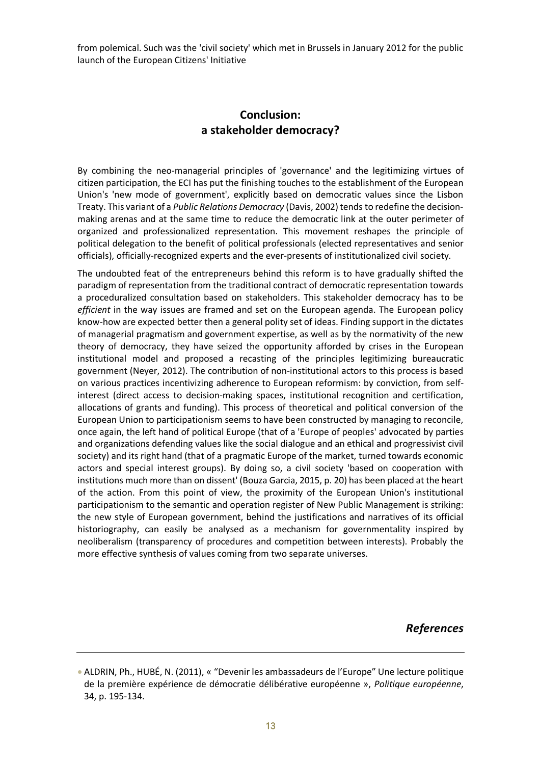from polemical. Such was the 'civil society' which met in Brussels in January 2012 for the public launch of the European Citizens' Initiative

### **Conclusion: a stakeholder democracy?**

By combining the neo-managerial principles of 'governance' and the legitimizing virtues of citizen participation, the ECI has put the finishing touches to the establishment of the European Union's 'new mode of government', explicitly based on democratic values since the Lisbon Treaty. This variant of a *Public Relations Democracy* (Davis, 2002) tends to redefine the decisionmaking arenas and at the same time to reduce the democratic link at the outer perimeter of organized and professionalized representation. This movement reshapes the principle of political delegation to the benefit of political professionals (elected representatives and senior officials), officially-recognized experts and the ever-presents of institutionalized civil society.

The undoubted feat of the entrepreneurs behind this reform is to have gradually shifted the paradigm of representation from the traditional contract of democratic representation towards a proceduralized consultation based on stakeholders. This stakeholder democracy has to be *efficient* in the way issues are framed and set on the European agenda. The European policy know-how are expected better then a general polity set of ideas. Finding support in the dictates of managerial pragmatism and government expertise, as well as by the normativity of the new theory of democracy, they have seized the opportunity afforded by crises in the European institutional model and proposed a recasting of the principles legitimizing bureaucratic government (Neyer, 2012). The contribution of non-institutional actors to this process is based on various practices incentivizing adherence to European reformism: by conviction, from selfinterest (direct access to decision-making spaces, institutional recognition and certification, allocations of grants and funding). This process of theoretical and political conversion of the European Union to participationism seems to have been constructed by managing to reconcile, once again, the left hand of political Europe (that of a 'Europe of peoples' advocated by parties and organizations defending values like the social dialogue and an ethical and progressivist civil society) and its right hand (that of a pragmatic Europe of the market, turned towards economic actors and special interest groups). By doing so, a civil society 'based on cooperation with institutions much more than on dissent' (Bouza Garcia, 2015, p. 20) has been placed at the heart of the action. From this point of view, the proximity of the European Union's institutional participationism to the semantic and operation register of New Public Management is striking: the new style of European government, behind the justifications and narratives of its official historiography, can easily be analysed as a mechanism for governmentality inspired by neoliberalism (transparency of procedures and competition between interests). Probably the more effective synthesis of values coming from two separate universes.

*References*

<sup>•</sup> ALDRIN, Ph., HUBÉ, N. (2011), « "Devenir les ambassadeurs de l'Europe" Une lecture politique de la première expérience de démocratie délibérative européenne », *Politique européenne*, 34, p. 195-134.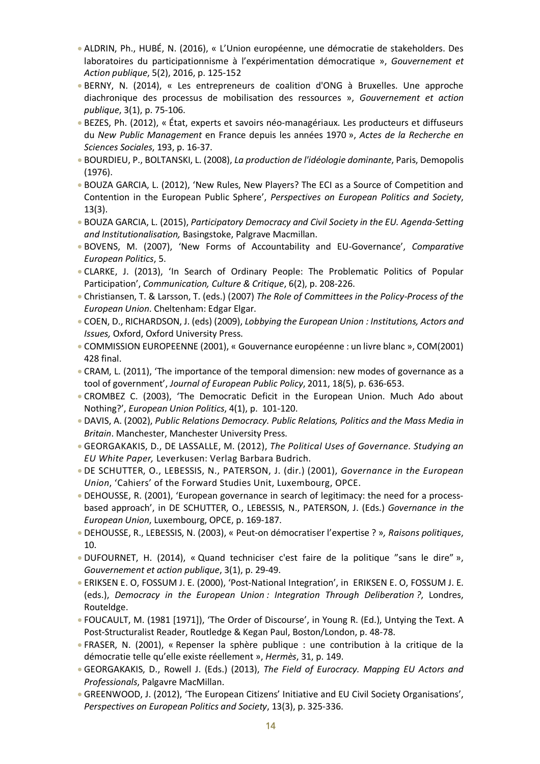- ALDRIN, Ph., HUBÉ, N. (2016), « L'Union européenne, une démocratie de stakeholders. Des laboratoires du participationnisme à l'expérimentation démocratique », *Gouvernement et Action publique*, 5(2), 2016, p. 125-152
- BERNY, N. (2014), « Les entrepreneurs de coalition d'ONG à Bruxelles. Une approche diachronique des processus de mobilisation des ressources », *Gouvernement et action publique*, 3(1), p. 75-106.
- BEZES, Ph. (2012), « État, experts et savoirs néo-managériaux. Les producteurs et diffuseurs du *New Public Management* en France depuis les années 1970 », *Actes de la Recherche en Sciences Sociales*, 193, p. 16-37.
- BOURDIEU, P., BOLTANSKI, L. (2008), *La production de l'idéologie dominante*, Paris, Demopolis (1976).
- BOUZA GARCIA, L. (2012), 'New Rules, New Players? The ECI as a Source of Competition and Contention in the European Public Sphere', *Perspectives on European Politics and Society*, 13(3).
- BOUZA GARCIA, L. (2015), *Participatory Democracy and Civil Society in the EU. Agenda-Setting and Institutionalisation,* Basingstoke, Palgrave Macmillan.
- BOVENS, M. (2007), 'New Forms of Accountability and EU-Governance', *Comparative European Politics*, 5.
- CLARKE, J. (2013), 'In Search of Ordinary People: The Problematic Politics of Popular Participation', *Communication, Culture & Critique*, 6(2), p. 208-226.
- Christiansen, T. & Larsson, T. (eds.) (2007) *The Role of Committees in the Policy-Process of the European Union*. Cheltenham: Edgar Elgar.
- COEN, D., RICHARDSON, J. (eds) (2009), *Lobbying the European Union : Institutions, Actors and Issues,* Oxford, Oxford University Press.
- COMMISSION EUROPEENNE (2001), « Gouvernance européenne : un livre blanc », COM(2001) 428 final.
- CRAM, L. (2011), 'The importance of the temporal dimension: new modes of governance as a tool of government', *Journal of European Public Policy*, 2011, 18(5), p. 636-653.
- CROMBEZ C. (2003), 'The Democratic Deficit in the European Union. Much Ado about Nothing?', *European Union Politics*, 4(1), p. 101-120.
- DAVIS, A. (2002), *Public Relations Democracy. Public Relations, Politics and the Mass Media in Britain*. Manchester, Manchester University Press.
- GEORGAKAKIS, D., DE LASSALLE, M. (2012), *The Political Uses of Governance. Studying an EU White Paper,* Leverkusen: Verlag Barbara Budrich.
- DE SCHUTTER, O., LEBESSIS, N., PATERSON, J. (dir.) (2001), *Governance in the European Union*, 'Cahiers' of the Forward Studies Unit, Luxembourg, OPCE.
- DEHOUSSE, R. (2001), 'European governance in search of legitimacy: the need for a processbased approach', in DE SCHUTTER, O., LEBESSIS, N., PATERSON, J. (Eds.) *Governance in the European Union*, Luxembourg, OPCE, p. 169-187.
- DEHOUSSE, R., LEBESSIS, N. (2003), « Peut-on démocratiser l'expertise ? »*, Raisons politiques*, 10.
- DUFOURNET, H. (2014), « Quand techniciser c'est faire de la politique "sans le dire" », *Gouvernement et action publique*, 3(1), p. 29-49.
- ERIKSEN E. O, FOSSUM J. E. (2000), 'Post-National Integration', in ERIKSEN E. O, FOSSUM J. E. (eds.), *Democracy in the European Union : Integration Through Deliberation ?*, Londres, Routeldge.
- FOUCAULT, M. (1981 [1971]), 'The Order of Discourse', in Young R. (Ed.), Untying the Text. A Post-Structuralist Reader, Routledge & Kegan Paul, Boston/London, p. 48-78.
- FRASER, N. (2001), « Repenser la sphère publique : une contribution à la critique de la démocratie telle qu'elle existe réellement », *Hermès*, 31, p. 149.
- GEORGAKAKIS, D., Rowell J. (Eds.) (2013), *The Field of Eurocracy. Mapping EU Actors and Professionals*, Palgavre MacMillan.
- GREENWOOD, J. (2012), 'The European Citizens' Initiative and EU Civil Society Organisations', *Perspectives on European Politics and Society*, 13(3), p. 325-336.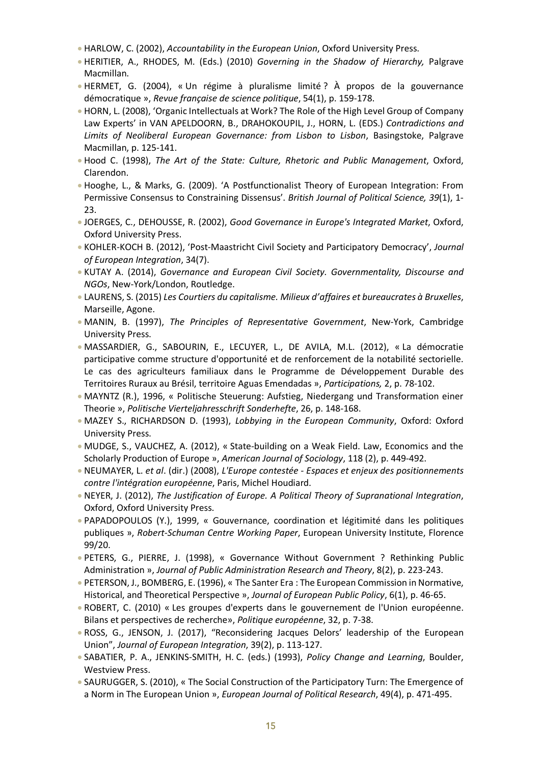- HARLOW, C. (2002), *Accountability in the European Union*, Oxford University Press.
- HERITIER, A., RHODES, M. (Eds.) (2010) *Governing in the Shadow of Hierarchy,* Palgrave Macmillan.
- HERMET, G. (2004), « Un régime à pluralisme limité ? À propos de la gouvernance démocratique », *Revue française de science politique*, 54(1), p. 159-178.
- HORN, L. (2008), 'Organic Intellectuals at Work? The Role of the High Level Group of Company Law Experts' in VAN APELDOORN, B., DRAHOKOUPIL, J., HORN, L. (EDS.) *Contradictions and Limits of Neoliberal European Governance: from Lisbon to Lisbon*, Basingstoke, Palgrave Macmillan, p. 125-141.
- Hood C. (1998), *The Art of the State: Culture, Rhetoric and Public Management*, Oxford, Clarendon.
- Hooghe, L., & Marks, G. (2009). 'A Postfunctionalist Theory of European Integration: From Permissive Consensus to Constraining Dissensus'. *British Journal of Political Science, 39*(1), 1- 23.
- JOERGES, C., DEHOUSSE, R. (2002), *Good Governance in Europe's Integrated Market*, Oxford, Oxford University Press.
- KOHLER-KOCH B. (2012), 'Post-Maastricht Civil Society and Participatory Democracy', *Journal of European Integration*, 34(7).
- KUTAY A. (2014), *Governance and European Civil Society. Governmentality, Discourse and NGOs*, New-York/London, Routledge.
- LAURENS, S. (2015) *Les Courtiers du capitalisme. Milieux d'affaires et bureaucrates à Bruxelles*, Marseille, Agone.
- MANIN, B. (1997), *The Principles of Representative Government*, New-York, Cambridge University Press.
- MASSARDIER, G., SABOURIN, E., LECUYER, L., DE AVILA, M.L. (2012), « La démocratie participative comme structure d'opportunité et de renforcement de la notabilité sectorielle. Le cas des agriculteurs familiaux dans le Programme de Développement Durable des Territoires Ruraux au Brésil, territoire Aguas Emendadas », *Participations,* 2, p. 78-102.
- MAYNTZ (R.), 1996, « Politische Steuerung: Aufstieg, Niedergang und Transformation einer Theorie », *Politische Vierteljahresschrift Sonderhefte*, 26, p. 148-168.
- MAZEY S., RICHARDSON D. (1993), *Lobbying in the European Community*, Oxford: Oxford University Press.
- MUDGE, S., VAUCHEZ, A. (2012), « State-building on a Weak Field. Law, Economics and the Scholarly Production of Europe », *American Journal of Sociology*, 118 (2), p. 449-492.
- NEUMAYER, L. *et al*. (dir.) (2008), *L'Europe contestée - Espaces et enjeux des positionnements contre l'intégration européenne*, Paris, Michel Houdiard.
- NEYER, J. (2012), *The Justification of Europe. A Political Theory of Supranational Integration*, Oxford, Oxford University Press.
- PAPADOPOULOS (Y.), 1999, « Gouvernance, coordination et légitimité dans les politiques publiques », *Robert-Schuman Centre Working Paper*, European University Institute, Florence 99/20.
- PETERS, G., PIERRE, J. (1998), « Governance Without Government ? Rethinking Public Administration », *Journal of Public Administration Research and Theory*, 8(2), p. 223-243.
- PETERSON, J., BOMBERG, E. (1996), « The Santer Era : The European Commission in Normative, Historical, and Theoretical Perspective », *Journal of European Public Policy*, 6(1), p. 46-65.
- ROBERT, C. (2010) « Les groupes d'experts dans le gouvernement de l'Union européenne. Bilans et perspectives de recherche», *Politique européenne*, 32, p. 7-38.
- ROSS, G., JENSON, J. (2017), "Reconsidering Jacques Delors' leadership of the European Union", *Journal of European Integration*, 39(2), p. 113-127.
- SABATIER, P. A., JENKINS-SMITH, H. C. (eds.) (1993), *Policy Change and Learning*, Boulder, Westview Press.
- SAURUGGER, S. (2010), « The Social Construction of the Participatory Turn: The Emergence of a Norm in The European Union », *European Journal of Political Research*, 49(4), p. 471-495.